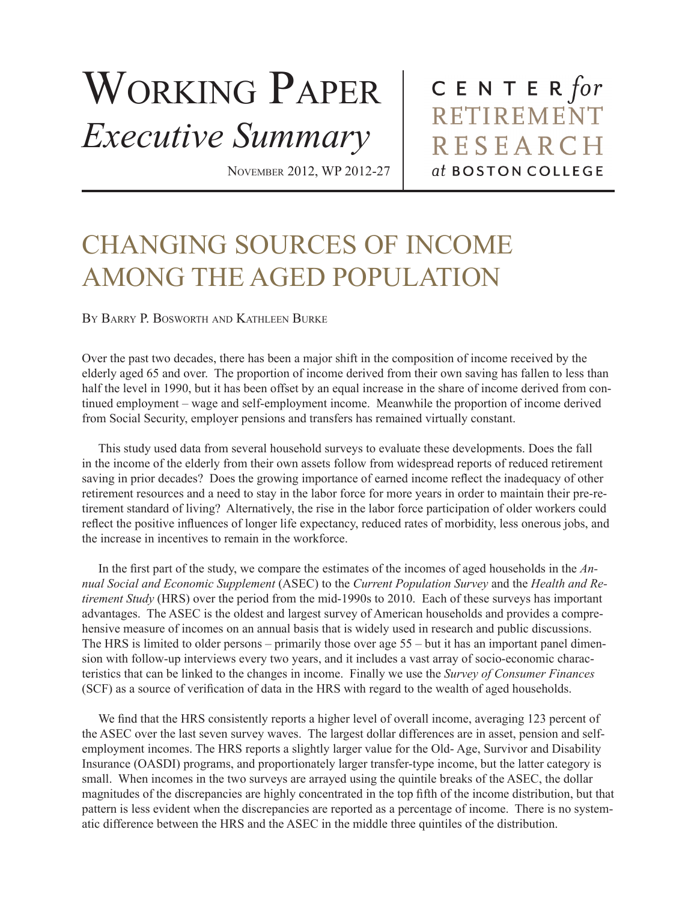## WORKING PAPER *Executive Summary*

november 2012, WP 2012-27

CENTER  $for$ RETIREMENT **RESEARCH** at BOSTON COLLEGE

## CHANGING SOURCES OF INCOME AMONG THE AGED POPULATION

BY BARRY P. BOSWORTH AND KATHLEEN BURKE

Over the past two decades, there has been a major shift in the composition of income received by the elderly aged 65 and over. The proportion of income derived from their own saving has fallen to less than half the level in 1990, but it has been offset by an equal increase in the share of income derived from continued employment – wage and self-employment income. Meanwhile the proportion of income derived from Social Security, employer pensions and transfers has remained virtually constant.

This study used data from several household surveys to evaluate these developments. Does the fall in the income of the elderly from their own assets follow from widespread reports of reduced retirement saving in prior decades? Does the growing importance of earned income reflect the inadequacy of other retirement resources and a need to stay in the labor force for more years in order to maintain their pre-retirement standard of living? Alternatively, the rise in the labor force participation of older workers could reflect the positive influences of longer life expectancy, reduced rates of morbidity, less onerous jobs, and the increase in incentives to remain in the workforce.

In the first part of the study, we compare the estimates of the incomes of aged households in the  $An$ nual Social and Economic Supplement (ASEC) to the Current Population Survey and the Health and Re*tirement Study* (HRS) over the period from the mid-1990s to 2010. Each of these surveys has important advantages. The ASEC is the oldest and largest survey of American households and provides a comprehensive measure of incomes on an annual basis that is widely used in research and public discussions. The HRS is limited to older persons – primarily those over age  $55 - \text{but it}$  has an important panel dimension with follow-up interviews every two years, and it includes a vast array of socio-economic characteristics that can be linked to the changes in income. Finally we use the Survey of Consumer Finances (SCF) as a source of verification of data in the HRS with regard to the wealth of aged households.

We find that the HRS consistently reports a higher level of overall income, averaging 123 percent of the ASEC over the last seven survey waves. The largest dollar differences are in asset, pension and selfemployment incomes. The HRS reports a slightly larger value for the Old-Age, Survivor and Disability Insurance (OASDI) programs, and proportionately larger transfer-type income, but the latter category is small. When incomes in the two surveys are arrayed using the quintile breaks of the ASEC, the dollar magnitudes of the discrepancies are highly concentrated in the top fifth of the income distribution, but that pattern is less evident when the discrepancies are reported as a percentage of income. There is no systematic difference between the HRS and the ASEC in the middle three quintiles of the distribution.